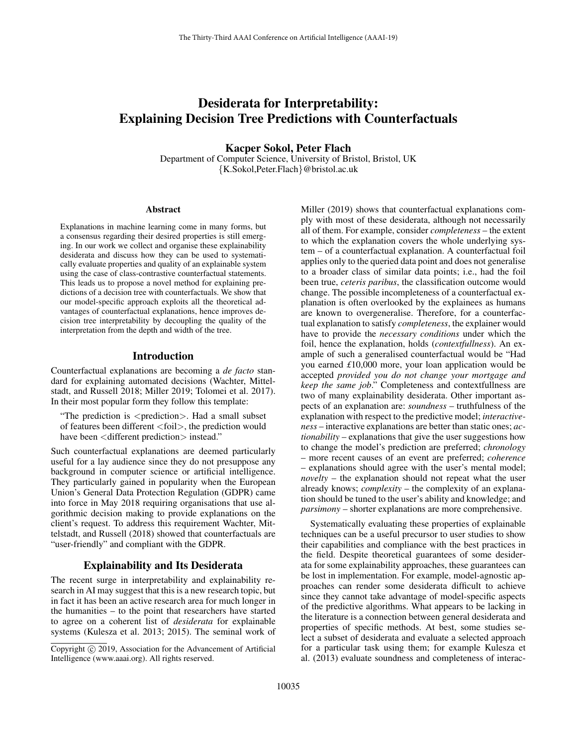# Desiderata for Interpretability: Explaining Decision Tree Predictions with Counterfactuals

Kacper Sokol, Peter Flach Department of Computer Science, University of Bristol, Bristol, UK {K.Sokol,Peter.Flach}@bristol.ac.uk

#### Abstract

Explanations in machine learning come in many forms, but a consensus regarding their desired properties is still emerging. In our work we collect and organise these explainability desiderata and discuss how they can be used to systematically evaluate properties and quality of an explainable system using the case of class-contrastive counterfactual statements. This leads us to propose a novel method for explaining predictions of a decision tree with counterfactuals. We show that our model-specific approach exploits all the theoretical advantages of counterfactual explanations, hence improves decision tree interpretability by decoupling the quality of the interpretation from the depth and width of the tree.

#### Introduction

Counterfactual explanations are becoming a *de facto* standard for explaining automated decisions (Wachter, Mittelstadt, and Russell 2018; Miller 2019; Tolomei et al. 2017). In their most popular form they follow this template:

"The prediction is <prediction>. Had a small subset of features been different <foil>, the prediction would have been  $\leq$  different prediction  $>$  instead."

Such counterfactual explanations are deemed particularly useful for a lay audience since they do not presuppose any background in computer science or artificial intelligence. They particularly gained in popularity when the European Union's General Data Protection Regulation (GDPR) came into force in May 2018 requiring organisations that use algorithmic decision making to provide explanations on the client's request. To address this requirement Wachter, Mittelstadt, and Russell (2018) showed that counterfactuals are "user-friendly" and compliant with the GDPR.

## Explainability and Its Desiderata

The recent surge in interpretability and explainability research in AI may suggest that this is a new research topic, but in fact it has been an active research area for much longer in the humanities – to the point that researchers have started to agree on a coherent list of *desiderata* for explainable systems (Kulesza et al. 2013; 2015). The seminal work of Miller (2019) shows that counterfactual explanations comply with most of these desiderata, although not necessarily all of them. For example, consider *completeness* – the extent to which the explanation covers the whole underlying system – of a counterfactual explanation. A counterfactual foil applies only to the queried data point and does not generalise to a broader class of similar data points; i.e., had the foil been true, *ceteris paribus*, the classification outcome would change. The possible incompleteness of a counterfactual explanation is often overlooked by the explainees as humans are known to overgeneralise. Therefore, for a counterfactual explanation to satisfy *completeness*, the explainer would have to provide the *necessary conditions* under which the foil, hence the explanation, holds (*contextfullness*). An example of such a generalised counterfactual would be "Had you earned *£*10,000 more, your loan application would be accepted *provided you do not change your mortgage and keep the same job*." Completeness and contextfullness are two of many explainability desiderata. Other important aspects of an explanation are: *soundness* – truthfulness of the explanation with respect to the predictive model; *interactiveness* – interactive explanations are better than static ones; *actionability* – explanations that give the user suggestions how to change the model's prediction are preferred; *chronology* – more recent causes of an event are preferred; *coherence* – explanations should agree with the user's mental model; *novelty* – the explanation should not repeat what the user already knows; *complexity* – the complexity of an explanation should be tuned to the user's ability and knowledge; and *parsimony* – shorter explanations are more comprehensive.

Systematically evaluating these properties of explainable techniques can be a useful precursor to user studies to show their capabilities and compliance with the best practices in the field. Despite theoretical guarantees of some desiderata for some explainability approaches, these guarantees can be lost in implementation. For example, model-agnostic approaches can render some desiderata difficult to achieve since they cannot take advantage of model-specific aspects of the predictive algorithms. What appears to be lacking in the literature is a connection between general desiderata and properties of specific methods. At best, some studies select a subset of desiderata and evaluate a selected approach for a particular task using them; for example Kulesza et al. (2013) evaluate soundness and completeness of interac-

Copyright  $\odot$  2019, Association for the Advancement of Artificial Intelligence (www.aaai.org). All rights reserved.